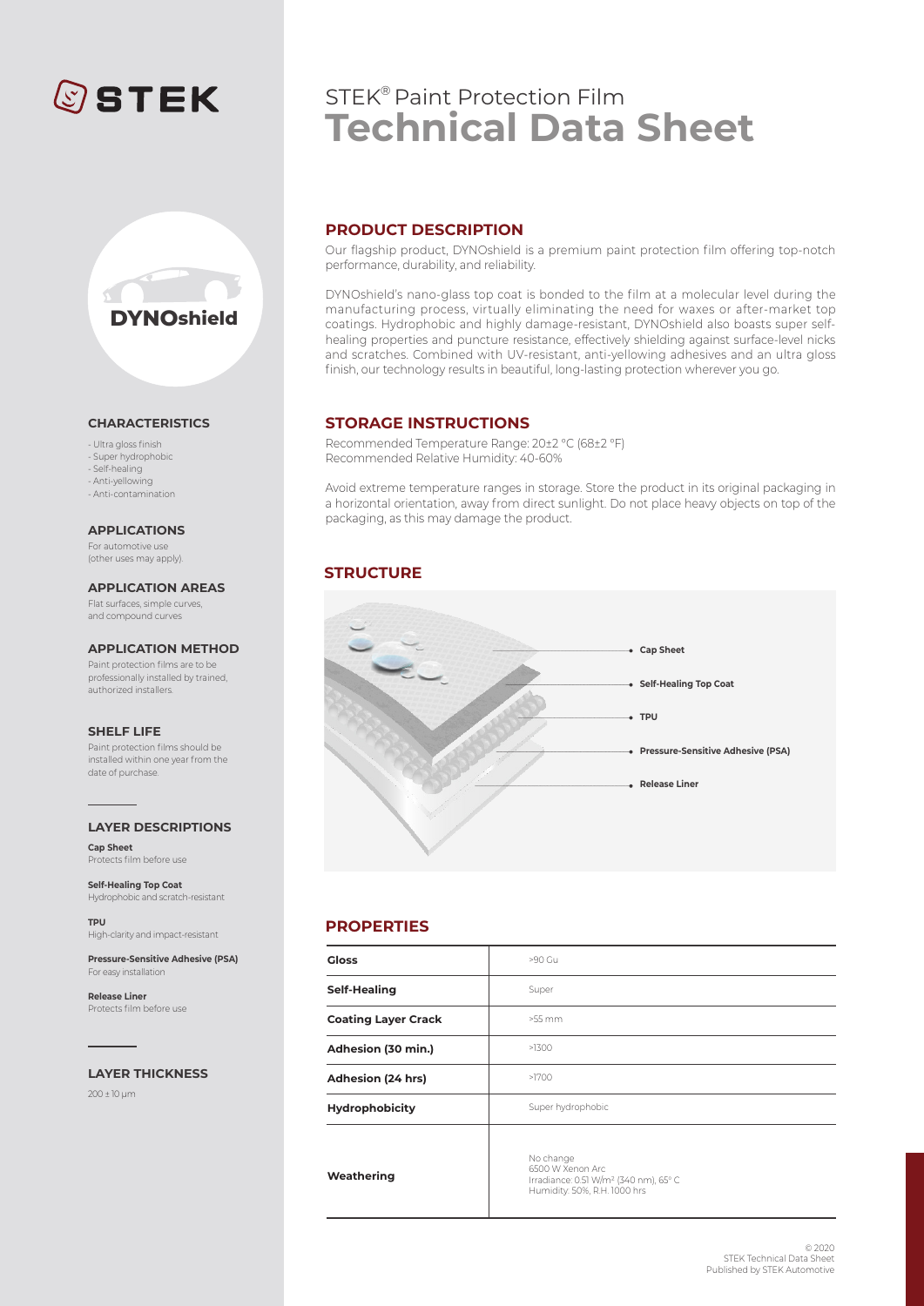# **©STEK**



#### **CHARACTERISTICS**

- Ultra gloss finish - Super hydrophobic

- Self-healing
- Anti-yellowing
- Anti-contamination

**APPLICATIONS**

For automotive use (other uses may apply).

Flat surfaces, simple curves, **APPLICATION AREAS**

and compound curves

#### **APPLICATION METHOD**

Paint protection films are to be professionally installed by trained, authorized installers.

#### **SHELF LIFE**

Paint protection films should be installed within one year from the date of purchase.

#### **LAYER DESCRIPTIONS**

**Cap Sheet** Protects film before use

**Self-Healing Top Coat** Hydrophobic and scratch-resistant

**TPU** High-clarity and impact-resistant

**Pressure-Sensitive Adhesive (PSA)** For easy installation

**Release Liner** Protects film before use

#### **LAYER THICKNESS**

200 ± 10 μm

# STEK® Paint Protection Film **Technical Data Sheet**

### **PRODUCT DESCRIPTION**

Our flagship product, DYNOshield is a premium paint protection film offering top-notch performance, durability, and reliability.

DYNOshield's nano-glass top coat is bonded to the film at a molecular level during the manufacturing process, virtually eliminating the need for waxes or after-market top coatings. Hydrophobic and highly damage-resistant, DYNOshield also boasts super selfhealing properties and puncture resistance, effectively shielding against surface-level nicks and scratches. Combined with UV-resistant, anti-yellowing adhesives and an ultra gloss finish, our technology results in beautiful, long-lasting protection wherever you go.

#### **STORAGE INSTRUCTIONS**

Recommended Temperature Range: 20±2 °C (68±2 °F) Recommended Relative Humidity: 40-60%

Avoid extreme temperature ranges in storage. Store the product in its original packaging in a horizontal orientation, away from direct sunlight. Do not place heavy objects on top of the packaging, as this may damage the product.

## **STRUCTURE**



#### **PROPERTIES**

| <b>Gloss</b>               | >90 Gu                                                                                                             |
|----------------------------|--------------------------------------------------------------------------------------------------------------------|
| Self-Healing               | Super                                                                                                              |
| <b>Coating Layer Crack</b> | $>55$ mm                                                                                                           |
| Adhesion (30 min.)         | >1300                                                                                                              |
| Adhesion (24 hrs)          | >1700                                                                                                              |
| Hydrophobicity             | Super hydrophobic                                                                                                  |
| Weathering                 | No change<br>6500 W Xenon Arc<br>Irradiance: 0.51 W/m <sup>2</sup> (340 nm), 65° C<br>Humidity: 50%, R.H. 1000 hrs |